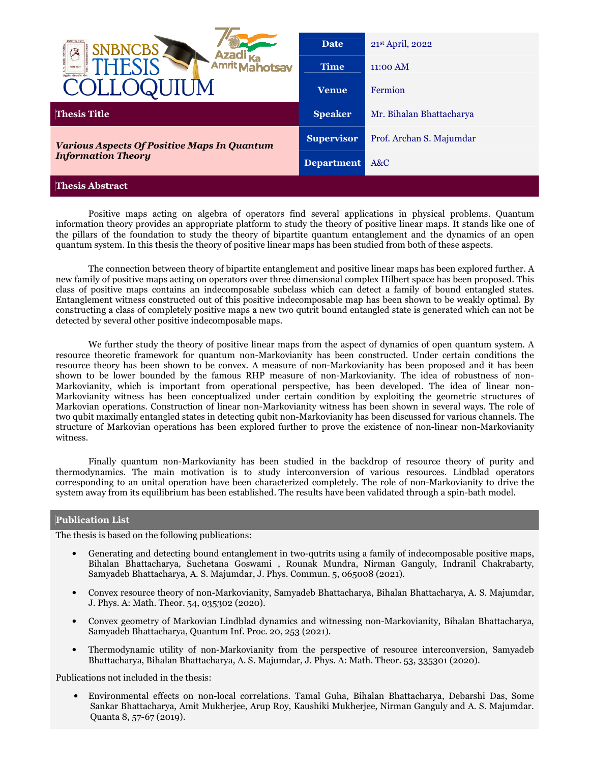| <b>CENTRE FOR</b><br><b>NBNCBS</b><br><b>Amrit MA</b><br>hotsav | <b>Date</b><br><b>Time</b> | 21st April, 2022<br>$11:00$ AM |
|-----------------------------------------------------------------|----------------------------|--------------------------------|
|                                                                 | <b>Venue</b>               | Fermion                        |
| <b>Thesis Title</b>                                             | <b>Speaker</b>             | Mr. Bihalan Bhattacharya       |
| <b>Various Aspects Of Positive Maps In Quantum</b>              | <b>Supervisor</b>          | Prof. Archan S. Majumdar       |
| <b>Information Theory</b>                                       | <b>Department</b>          | A&C                            |
| <b>Thesis Abstract</b>                                          |                            |                                |

 Positive maps acting on algebra of operators find several applications in physical problems. Quantum information theory provides an appropriate platform to study the theory of positive linear maps. It stands like one of the pillars of the foundation to study the theory of bipartite quantum entanglement and the dynamics of an open quantum system. In this thesis the theory of positive linear maps has been studied from both of these aspects.

 The connection between theory of bipartite entanglement and positive linear maps has been explored further. A new family of positive maps acting on operators over three dimensional complex Hilbert space has been proposed. This class of positive maps contains an indecomposable subclass which can detect a family of bound entangled states. Entanglement witness constructed out of this positive indecomposable map has been shown to be weakly optimal. By constructing a class of completely positive maps a new two qutrit bound entangled state is generated which can not be detected by several other positive indecomposable maps.

We further study the theory of positive linear maps from the aspect of dynamics of open quantum system. A resource theoretic framework for quantum non-Markovianity has been constructed. Under certain conditions the resource theory has been shown to be convex. A measure of non-Markovianity has been proposed and it has been shown to be lower bounded by the famous RHP measure of non-Markovianity. The idea of robustness of non-Markovianity, which is important from operational perspective, has been developed. The idea of linear non-Markovianity witness has been conceptualized under certain condition by exploiting the geometric structures of Markovian operations. Construction of linear non-Markovianity witness has been shown in several ways. The role of two qubit maximally entangled states in detecting qubit non-Markovianity has been discussed for various channels. The structure of Markovian operations has been explored further to prove the existence of non-linear non-Markovianity witness.

 Finally quantum non-Markovianity has been studied in the backdrop of resource theory of purity and thermodynamics. The main motivation is to study interconversion of various resources. Lindblad operators corresponding to an unital operation have been characterized completely. The role of non-Markovianity to drive the system away from its equilibrium has been established. The results have been validated through a spin-bath model.

## **Publication List**

The thesis is based on the following publications:

- Generating and detecting bound entanglement in two-qutrits using a family of indecomposable positive maps, Bihalan Bhattacharya, Suchetana Goswami , Rounak Mundra, Nirman Ganguly, Indranil Chakrabarty, Samyadeb Bhattacharya, A. S. Majumdar, J. Phys. Commun. 5, 065008 (2021).
- Convex resource theory of non-Markovianity, Samyadeb Bhattacharya, Bihalan Bhattacharya, A. S. Majumdar, J. Phys. A: Math. Theor. 54, 035302 (2020).
- Convex geometry of Markovian Lindblad dynamics and witnessing non-Markovianity, Bihalan Bhattacharya, Samyadeb Bhattacharya, Quantum Inf. Proc. 20, 253 (2021).
- Thermodynamic utility of non-Markovianity from the perspective of resource interconversion, Samyadeb Bhattacharya, Bihalan Bhattacharya, A. S. Majumdar, J. Phys. A: Math. Theor. 53, 335301 (2020).

Publications not included in the thesis:

• Environmental effects on non-local correlations. Tamal Guha, Bihalan Bhattacharya, Debarshi Das, Some Sankar Bhattacharya, Amit Mukherjee, Arup Roy, Kaushiki Mukherjee, Nirman Ganguly and A. S. Majumdar. Quanta 8, 57-67 (2019).